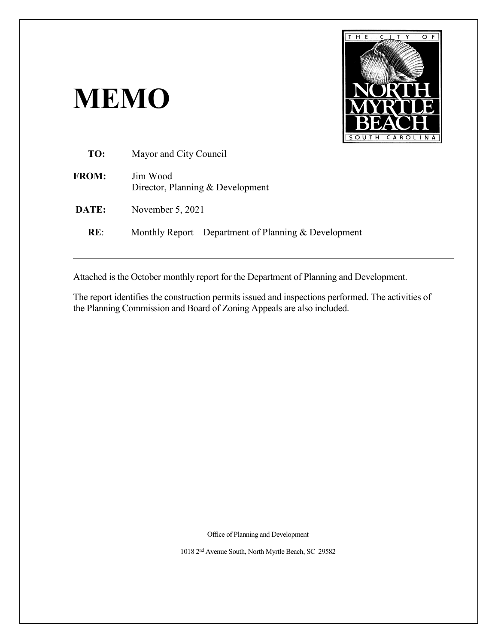# **MEMO**



| TO:          | Mayor and City Council                                |
|--------------|-------------------------------------------------------|
| <b>FROM:</b> | Jim Wood<br>Director, Planning & Development          |
| DATE:        | November 5, 2021                                      |
| RE:          | Monthly Report – Department of Planning & Development |
|              |                                                       |

Attached is the October monthly report for the Department of Planning and Development.

The report identifies the construction permits issued and inspections performed. The activities of the Planning Commission and Board of Zoning Appeals are also included.

Office of Planning and Development

1018 2nd Avenue South, North Myrtle Beach, SC 29582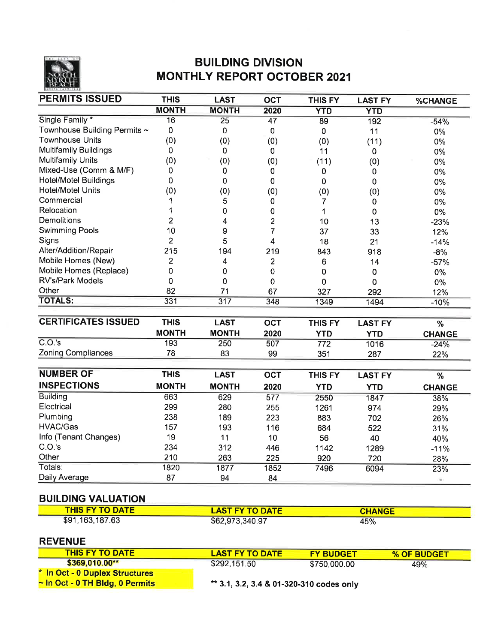

# **BUILDING DIVISION MONTHLY REPORT OCTOBER 2021**

| <b>PERMITS ISSUED</b>        | <b>THIS</b>    | <b>LAST</b>      | <b>OCT</b>       | <b>THIS FY</b>   | <b>LAST FY</b> | %CHANGE       |
|------------------------------|----------------|------------------|------------------|------------------|----------------|---------------|
|                              | <b>MONTH</b>   | <b>MONTH</b>     | 2020             | <b>YTD</b>       | <b>YTD</b>     |               |
| Single Family*               | 16             | 25               | $\overline{47}$  | 89               | 192            | $-54%$        |
| Townhouse Building Permits ~ | $\pmb{0}$      | $\pmb{0}$        | $\pmb{0}$        | 0                | 11             | 0%            |
| <b>Townhouse Units</b>       | (0)            | (0)              | (0)              | (0)              | (11)           | 0%            |
| <b>Multifamily Buildings</b> | $\mathbf 0$    | $\mathbf 0$      | $\mathbf 0$      | 11               | 0              | 0%            |
| <b>Multifamily Units</b>     | (0)            | (0)              | (0)              | (11)             | (0)            | 0%            |
| Mixed-Use (Comm & M/F)       | 0              | 0                | 0                | 0                | 0              | $0\%$         |
| <b>Hotel/Motel Buildings</b> | 0              | 0                | 0                | 0                | 0              | 0%            |
| <b>Hotel/Motel Units</b>     | (0)            | (0)              | (0)              | (0)              | (0)            | 0%            |
| Commercial                   | 1              | 5                | 0                | $\overline{7}$   | $\mathbf 0$    | 0%            |
| Relocation                   | 1              | $\pmb{0}$        | 0                | 1                | 0              | 0%            |
| Demolitions                  | $\overline{2}$ | 4                | $\overline{c}$   | 10               | 13             | $-23%$        |
| <b>Swimming Pools</b>        | 10             | 9                | 7                | 37               | 33             | 12%           |
| Signs                        | $\overline{2}$ | 5                | 4                | 18               | 21             | $-14%$        |
| Alter/Addition/Repair        | 215            | 194              | 219              | 843              | 918            | $-8%$         |
| Mobile Homes (New)           | $\overline{c}$ | 4                | $\overline{2}$   | 6                | 14             | $-57%$        |
| Mobile Homes (Replace)       | 0              | 0                | 0                | $\pmb{0}$        | 0              | 0%            |
| RV's/Park Models             | $\overline{0}$ | $\mathbf 0$      | 0                | 0                | 0              | 0%            |
| Other                        | 82             | 71               | 67               | 327              | 292            | 12%           |
| <b>TOTALS:</b>               | 331            | $\overline{317}$ | 348              | 1349             | 1494           | $-10%$        |
|                              |                |                  |                  |                  |                |               |
| <b>CERTIFICATES ISSUED</b>   | <b>THIS</b>    | <b>LAST</b>      | <b>OCT</b>       | <b>THIS FY</b>   | <b>LAST FY</b> | %             |
|                              | <b>MONTH</b>   | <b>MONTH</b>     | 2020             | <b>YTD</b>       | <b>YTD</b>     | <b>CHANGE</b> |
| C.O.'s                       | 193            | 250              | 507              | $\overline{772}$ | 1016           | $-24%$        |
| <b>Zoning Compliances</b>    | 78             | 83               | 99               | 351              | 287            | 22%           |
|                              |                |                  |                  |                  |                |               |
| <b>NUMBER OF</b>             | <b>THIS</b>    | <b>LAST</b>      | OCT              | <b>THIS FY</b>   | <b>LAST FY</b> | %             |
| <b>INSPECTIONS</b>           | <b>MONTH</b>   | <b>MONTH</b>     | 2020             | <b>YTD</b>       | <b>YTD</b>     | <b>CHANGE</b> |
| <b>Building</b>              | 663            | 629              | $\overline{577}$ | 2550             | 1847           | 38%           |
| Electrical                   | 299            | 280              | 255              | 1261             | 974            | 29%           |
| Plumbing                     | 238            | 189              | 223              | 883              | 702            | 26%           |
| HVAC/Gas                     | 157            | 193              | 116              | 684              | 522            | 31%           |
| Info (Tenant Changes)        | 19             | 11               | 10               | 56               | 40             | 40%           |
| C.O.'s                       | 234            | 312              | 446              | 1142             | 1289           | $-11%$        |
| Other                        | 210            | 263              | 225              | 920              | 720            | 28%           |
| Totals:                      | 1820           | 1877             | 1852             | 7496             | 6094           | 23%           |
| Daily Average                | 87             | 94               | 84               |                  |                | Ξ             |
| <b>RHI DING VALUATION</b>    |                |                  |                  |                  |                |               |

#### **BUILDING VALUATION**

| <b>THIS FY TO DATE</b> | <b>LAST FY TO DATE</b> | <b>CHANGE</b> |  |
|------------------------|------------------------|---------------|--|
| \$91,163,187.63        | \$62,973,340.97        | 45%           |  |

#### **REVENUE**

| <b>THIS FY TO DATE</b>               | <b>LAST FY TO DATE</b>                   | <b>FY BUDGET</b> | % OF BUDGET |
|--------------------------------------|------------------------------------------|------------------|-------------|
| $$369.010.00**$                      | \$292,151.50                             | \$750,000.00     | 49%         |
| * In Oct - 0 Duplex Structures       |                                          |                  |             |
| $\sim$ In Oct - 0 TH Bldg, 0 Permits | ** 3.1, 3.2, 3.4 & 01-320-310 codes only |                  |             |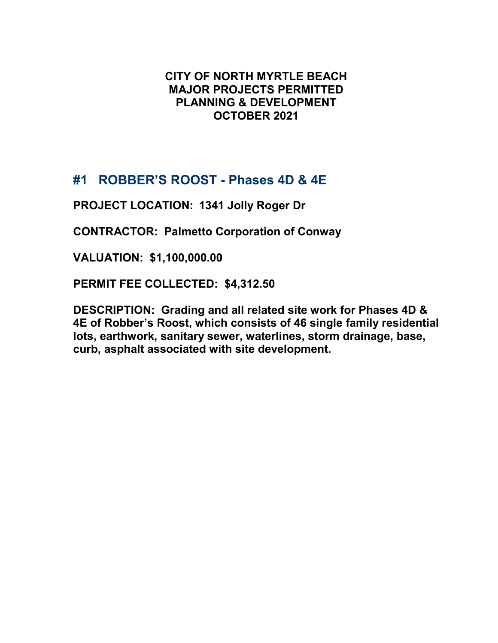# **CITY OF NORTH MYRTLE BEACH MAJOR PROJECTS PERMITTED PLANNING & DEVELOPMENT OCTOBER 2021**

# **#1 ROBBER'S ROOST - Phases 4D & 4E**

**PROJECT LOCATION: 1341 Jolly Roger Dr**

**CONTRACTOR: Palmetto Corporation of Conway**

**VALUATION: \$1,100,000.00**

**PERMIT FEE COLLECTED: \$4,312.50**

**DESCRIPTION: Grading and all related site work for Phases 4D & 4E of Robber's Roost, which consists of 46 single family residential lots, earthwork, sanitary sewer, waterlines, storm drainage, base, curb, asphalt associated with site development.**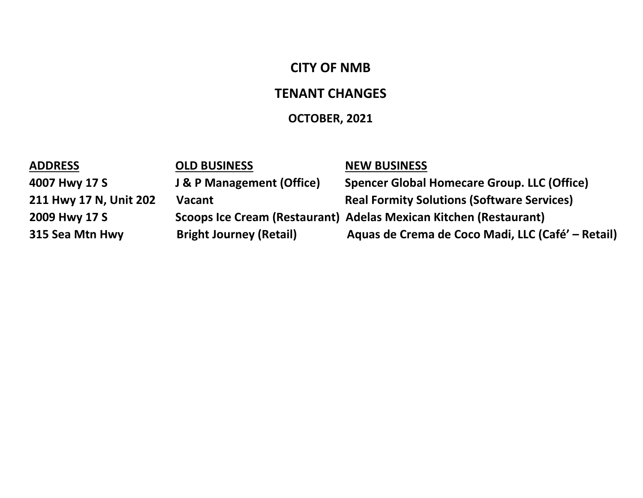# **CITY OF NMB**

# **TENANT CHANGES**

# **OCTOBER, 2021**

| <b>ADDRESS</b>         | <b>OLD BUSINESS</b>                  | <b>NEW BUSINESS</b>                                               |
|------------------------|--------------------------------------|-------------------------------------------------------------------|
| 4007 Hwy 17 S          | <b>J &amp; P Management (Office)</b> | <b>Spencer Global Homecare Group. LLC (Office)</b>                |
| 211 Hwy 17 N, Unit 202 | <b>Vacant</b>                        | <b>Real Formity Solutions (Software Services)</b>                 |
| 2009 Hwy 17 S          |                                      | Scoops Ice Cream (Restaurant) Adelas Mexican Kitchen (Restaurant) |
| 315 Sea Mtn Hwy        | <b>Bright Journey (Retail)</b>       | Aquas de Crema de Coco Madi, LLC (Café' – Retail)                 |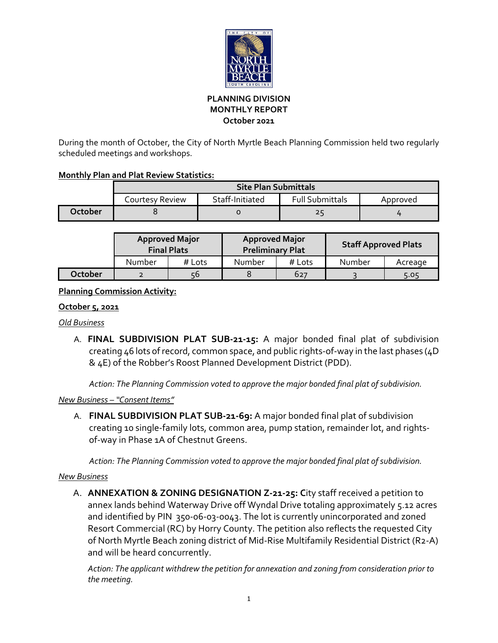

## **PLANNING DIVISION MONTHLY REPORT October 2021**

During the month of October, the City of North Myrtle Beach Planning Commission held two regularly scheduled meetings and workshops.

## **Monthly Plan and Plat Review Statistics:**

|         | <b>Site Plan Submittals</b> |                 |                        |          |  |  |
|---------|-----------------------------|-----------------|------------------------|----------|--|--|
|         | Courtesy Review             | Staff-Initiated | <b>Full Submittals</b> | Approved |  |  |
| October |                             |                 | 25                     |          |  |  |

|         | <b>Approved Major</b><br><b>Final Plats</b> |        | <b>Approved Major</b><br><b>Preliminary Plat</b> |        | <b>Staff Approved Plats</b> |         |
|---------|---------------------------------------------|--------|--------------------------------------------------|--------|-----------------------------|---------|
|         | Number                                      | # Lots | Number                                           | # Lots | Number                      | Acreage |
| October |                                             | 56     |                                                  | 627    |                             | 5.05    |

# **Planning Commission Activity:**

## **October 5, 2021**

#### *Old Business*

A. **FINAL SUBDIVISION PLAT SUB-21-15:** A major bonded final plat of subdivision creating 46 lots of record, common space, and public rights-of-way in the last phases (4D & 4E) of the Robber's Roost Planned Development District (PDD).

*Action: The Planning Commission voted to approve the major bonded final plat of subdivision.*

# *New Business – "Consent Items"*

A. **FINAL SUBDIVISION PLAT SUB-21-69:** A major bonded final plat of subdivision creating 10 single-family lots, common area, pump station, remainder lot, and rightsof-way in Phase 1A of Chestnut Greens.

*Action: The Planning Commission voted to approve the major bonded final plat of subdivision.*

# *New Business*

A. **ANNEXATION & ZONING DESIGNATION Z-21-25: C**ity staff received a petition to annex lands behind Waterway Drive off Wyndal Drive totaling approximately 5.12 acres and identified by PIN 350-06-03-0043. The lot is currently unincorporated and zoned Resort Commercial (RC) by Horry County. The petition also reflects the requested City of North Myrtle Beach zoning district of Mid-Rise Multifamily Residential District (R2-A) and will be heard concurrently.

*Action: The applicant withdrew the petition for annexation and zoning from consideration prior to the meeting.*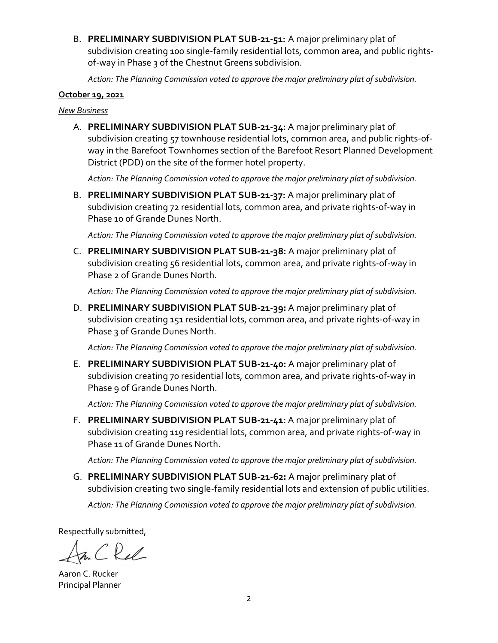B. **PRELIMINARY SUBDIVISION PLAT SUB-21-51:** A major preliminary plat of subdivision creating 100 single-family residential lots, common area, and public rightsof-way in Phase 3 of the Chestnut Greens subdivision.

*Action: The Planning Commission voted to approve the major preliminary plat of subdivision.*

#### **October 19, 2021**

#### *New Business*

A. **PRELIMINARY SUBDIVISION PLAT SUB-21-34:** A major preliminary plat of subdivision creating 57 townhouse residential lots, common area, and public rights-ofway in the Barefoot Townhomes section of the Barefoot Resort Planned Development District (PDD) on the site of the former hotel property.

*Action: The Planning Commission voted to approve the major preliminary plat of subdivision.*

B. **PRELIMINARY SUBDIVISION PLAT SUB-21-37:** A major preliminary plat of subdivision creating 72 residential lots, common area, and private rights-of-way in Phase 10 of Grande Dunes North.

*Action: The Planning Commission voted to approve the major preliminary plat of subdivision.*

C. **PRELIMINARY SUBDIVISION PLAT SUB-21-38:** A major preliminary plat of subdivision creating 56 residential lots, common area, and private rights-of-way in Phase 2 of Grande Dunes North.

*Action: The Planning Commission voted to approve the major preliminary plat of subdivision.*

D. **PRELIMINARY SUBDIVISION PLAT SUB-21-39:** A major preliminary plat of subdivision creating 151 residential lots, common area, and private rights-of-way in Phase 3 of Grande Dunes North.

*Action: The Planning Commission voted to approve the major preliminary plat of subdivision.*

E. **PRELIMINARY SUBDIVISION PLAT SUB-21-40:** A major preliminary plat of subdivision creating 70 residential lots, common area, and private rights-of-way in Phase 9 of Grande Dunes North.

*Action: The Planning Commission voted to approve the major preliminary plat of subdivision.*

F. **PRELIMINARY SUBDIVISION PLAT SUB-21-41:** A major preliminary plat of subdivision creating 119 residential lots, common area, and private rights-of-way in Phase 11 of Grande Dunes North.

*Action: The Planning Commission voted to approve the major preliminary plat of subdivision.*

G. **PRELIMINARY SUBDIVISION PLAT SUB-21-62:** A major preliminary plat of subdivision creating two single-family residential lots and extension of public utilities. *Action: The Planning Commission voted to approve the major preliminary plat of subdivision.*

Respectfully submitted,

Rel

Aaron C. Rucker Principal Planner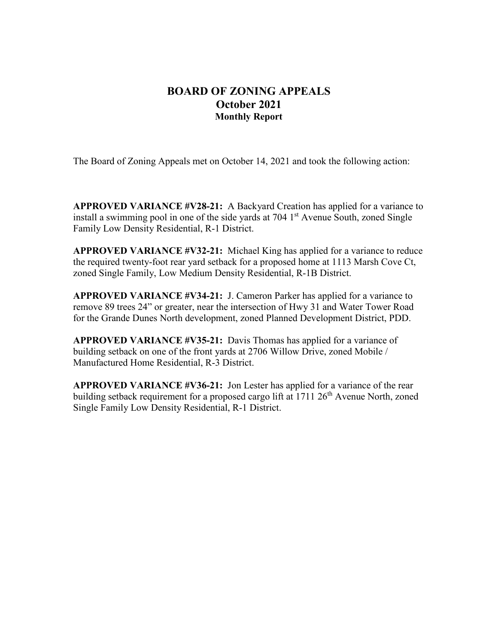# **BOARD OF ZONING APPEALS October 2021 Monthly Report**

The Board of Zoning Appeals met on October 14, 2021 and took the following action:

**APPROVED VARIANCE #V28-21:** A Backyard Creation has applied for a variance to install a swimming pool in one of the side yards at  $704$  1<sup>st</sup> Avenue South, zoned Single Family Low Density Residential, R-1 District.

**APPROVED VARIANCE #V32-21:** Michael King has applied for a variance to reduce the required twenty-foot rear yard setback for a proposed home at 1113 Marsh Cove Ct, zoned Single Family, Low Medium Density Residential, R-1B District.

**APPROVED VARIANCE #V34-21:** J. Cameron Parker has applied for a variance to remove 89 trees 24" or greater, near the intersection of Hwy 31 and Water Tower Road for the Grande Dunes North development, zoned Planned Development District, PDD.

**APPROVED VARIANCE #V35-21:** Davis Thomas has applied for a variance of building setback on one of the front yards at 2706 Willow Drive, zoned Mobile / Manufactured Home Residential, R-3 District.

**APPROVED VARIANCE #V36-21:** Jon Lester has applied for a variance of the rear building setback requirement for a proposed cargo lift at  $1711 26<sup>th</sup>$  Avenue North, zoned Single Family Low Density Residential, R-1 District.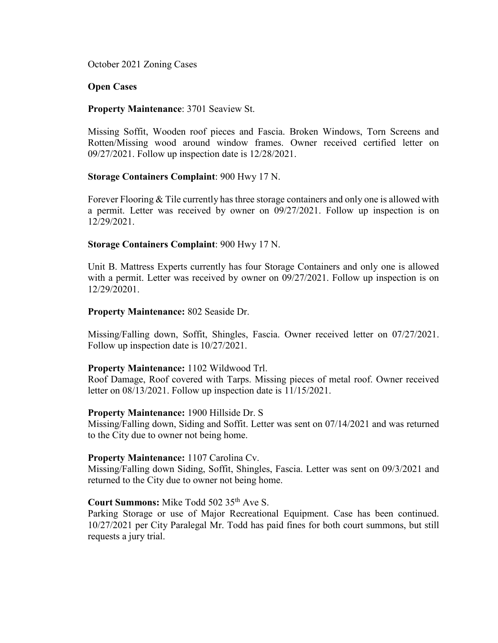October 2021 Zoning Cases

#### **Open Cases**

#### **Property Maintenance**: 3701 Seaview St.

Missing Soffit, Wooden roof pieces and Fascia. Broken Windows, Torn Screens and Rotten/Missing wood around window frames. Owner received certified letter on 09/27/2021. Follow up inspection date is 12/28/2021.

#### **Storage Containers Complaint**: 900 Hwy 17 N.

Forever Flooring & Tile currently has three storage containers and only one is allowed with a permit. Letter was received by owner on 09/27/2021. Follow up inspection is on 12/29/2021.

#### **Storage Containers Complaint**: 900 Hwy 17 N.

Unit B. Mattress Experts currently has four Storage Containers and only one is allowed with a permit. Letter was received by owner on 09/27/2021. Follow up inspection is on 12/29/20201.

#### **Property Maintenance:** 802 Seaside Dr.

Missing/Falling down, Soffit, Shingles, Fascia. Owner received letter on 07/27/2021. Follow up inspection date is 10/27/2021.

#### **Property Maintenance:** 1102 Wildwood Trl.

Roof Damage, Roof covered with Tarps. Missing pieces of metal roof. Owner received letter on 08/13/2021. Follow up inspection date is 11/15/2021.

#### **Property Maintenance:** 1900 Hillside Dr. S

Missing/Falling down, Siding and Soffit. Letter was sent on 07/14/2021 and was returned to the City due to owner not being home.

#### **Property Maintenance:** 1107 Carolina Cv.

Missing/Falling down Siding, Soffit, Shingles, Fascia. Letter was sent on 09/3/2021 and returned to the City due to owner not being home.

# Court Summons: Mike Todd 502 35<sup>th</sup> Ave S.

Parking Storage or use of Major Recreational Equipment. Case has been continued. 10/27/2021 per City Paralegal Mr. Todd has paid fines for both court summons, but still requests a jury trial.